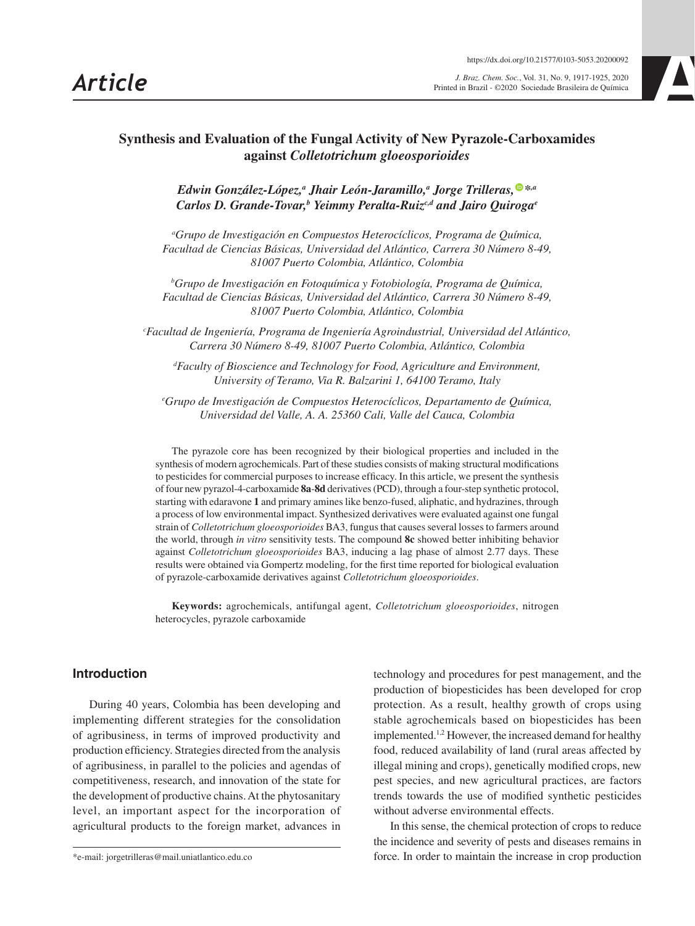*Article J. Braz. Chem. Soc.*, Vol. 31, No. 9, 1917-1925, 2020 Printed in Brazil - ©2020 Sociedade Brasileira de Química



# **Synthesis and Evaluation of the Fungal Activity of New Pyrazole-Carboxamides against** *Colletotrichum gloeosporioides*

*Edwin González-López,<sup>a</sup> Jhair León-Jaramillo,<sup>a</sup> Jorge Trilleras,<sup>®</sup> [\\*](https://orcid.org/0000-0002-4516-213X)<sup><i>,a*</sup> *Carlos D. Grande-Tovar,<sup>b</sup> Yeimmy Peralta-Ruiz<sup>c,d</sup> and Jairo Quiroga<sup>e</sup>* 

*a Grupo de Investigación en Compuestos Heterocíclicos, Programa de Química, Facultad de Ciencias Básicas, Universidad del Atlántico, Carrera 30 Número 8-49, 81007 Puerto Colombia, Atlántico, Colombia*

*b Grupo de Investigación en Fotoquímica y Fotobiología, Programa de Química, Facultad de Ciencias Básicas, Universidad del Atlántico, Carrera 30 Número 8-49, 81007 Puerto Colombia, Atlántico, Colombia*

*c Facultad de Ingeniería, Programa de Ingeniería Agroindustrial, Universidad del Atlántico, Carrera 30 Número 8-49, 81007 Puerto Colombia, Atlántico, Colombia*

*d Faculty of Bioscience and Technology for Food, Agriculture and Environment, University of Teramo, Via R. Balzarini 1, 64100 Teramo, Italy*

*e Grupo de Investigación de Compuestos Heterocíclicos, Departamento de Química, Universidad del Valle, A. A. 25360 Cali, Valle del Cauca, Colombia*

The pyrazole core has been recognized by their biological properties and included in the synthesis of modern agrochemicals. Part of these studies consists of making structural modifications to pesticides for commercial purposes to increase efficacy. In this article, we present the synthesis of four new pyrazol-4-carboxamide **8a**-**8d** derivatives (PCD), through a four-step synthetic protocol, starting with edaravone **1** and primary amines like benzo-fused, aliphatic, and hydrazines, through a process of low environmental impact. Synthesized derivatives were evaluated against one fungal strain of *Colletotrichum gloeosporioides* BA3, fungus that causes several losses to farmers around the world, through *in vitro* sensitivity tests. The compound **8c** showed better inhibiting behavior against *Colletotrichum gloeosporioides* BA3, inducing a lag phase of almost 2.77 days. These results were obtained via Gompertz modeling, for the first time reported for biological evaluation of pyrazole-carboxamide derivatives against *Colletotrichum gloeosporioides*.

**Keywords:** agrochemicals, antifungal agent, *Colletotrichum gloeosporioides*, nitrogen heterocycles, pyrazole carboxamide

# **Introduction**

During 40 years, Colombia has been developing and implementing different strategies for the consolidation of agribusiness, in terms of improved productivity and production efficiency. Strategies directed from the analysis of agribusiness, in parallel to the policies and agendas of competitiveness, research, and innovation of the state for the development of productive chains. At the phytosanitary level, an important aspect for the incorporation of agricultural products to the foreign market, advances in technology and procedures for pest management, and the production of biopesticides has been developed for crop protection. As a result, healthy growth of crops using stable agrochemicals based on biopesticides has been implemented.1,2 However, the increased demand for healthy food, reduced availability of land (rural areas affected by illegal mining and crops), genetically modified crops, new pest species, and new agricultural practices, are factors trends towards the use of modified synthetic pesticides without adverse environmental effects.

In this sense, the chemical protection of crops to reduce the incidence and severity of pests and diseases remains in force. In order to maintain the increase in crop production

<sup>\*</sup>e-mail: jorgetrilleras@mail.uniatlantico.edu.co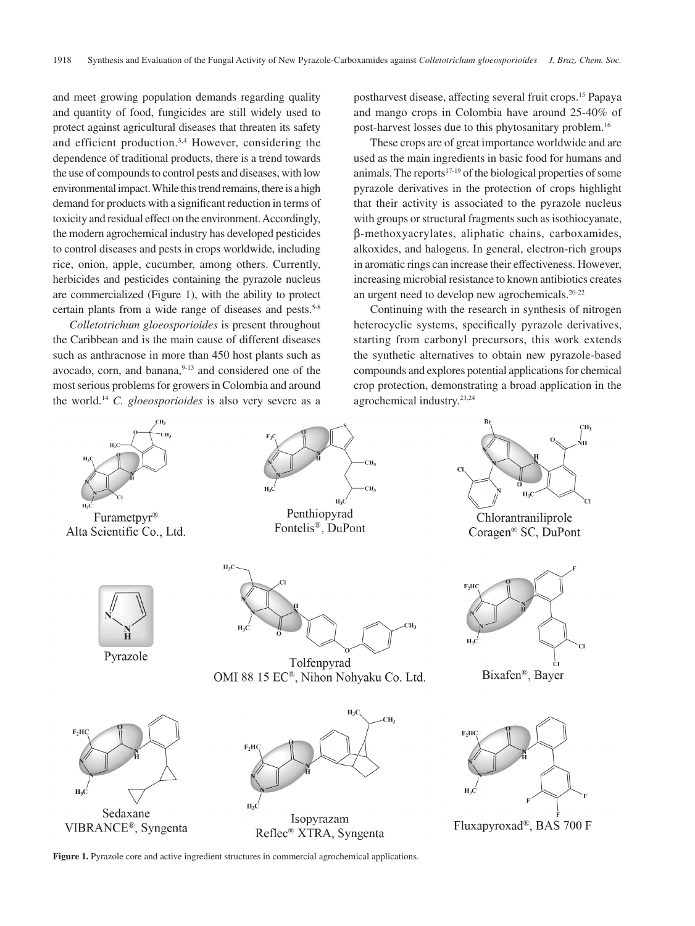and meet growing population demands regarding quality and quantity of food, fungicides are still widely used to protect against agricultural diseases that threaten its safety and efficient production.<sup>3,4</sup> However, considering the dependence of traditional products, there is a trend towards the use of compounds to control pests and diseases, with low environmental impact. While this trend remains, there is a high demand for products with a significant reduction in terms of toxicity and residual effect on the environment. Accordingly, the modern agrochemical industry has developed pesticides to control diseases and pests in crops worldwide, including rice, onion, apple, cucumber, among others. Currently, herbicides and pesticides containing the pyrazole nucleus are commercialized (Figure 1), with the ability to protect certain plants from a wide range of diseases and pests.<sup>5-8</sup>

*Colletotrichum gloeosporioides* is present throughout the Caribbean and is the main cause of different diseases such as anthracnose in more than 450 host plants such as avocado, corn, and banana,<sup>9-13</sup> and considered one of the most serious problems for growers in Colombia and around the world.14 *C. gloeosporioides* is also very severe as a

postharvest disease, affecting several fruit crops.15 Papaya and mango crops in Colombia have around 25-40% of post-harvest losses due to this phytosanitary problem.16

These crops are of great importance worldwide and are used as the main ingredients in basic food for humans and animals. The reports<sup>17-19</sup> of the biological properties of some pyrazole derivatives in the protection of crops highlight that their activity is associated to the pyrazole nucleus with groups or structural fragments such as isothiocyanate. β-methoxyacrylates, aliphatic chains, carboxamides, alkoxides, and halogens. In general, electron-rich groups in aromatic rings can increase their effectiveness. However, increasing microbial resistance to known antibiotics creates an urgent need to develop new agrochemicals.20-22

Continuing with the research in synthesis of nitrogen heterocyclic systems, specifically pyrazole derivatives, starting from carbonyl precursors, this work extends the synthetic alternatives to obtain new pyrazole-based compounds and explores potential applications for chemical crop protection, demonstrating a broad application in the agrochemical industry.23,24



**Figure 1.** Pyrazole core and active ingredient structures in commercial agrochemical applications.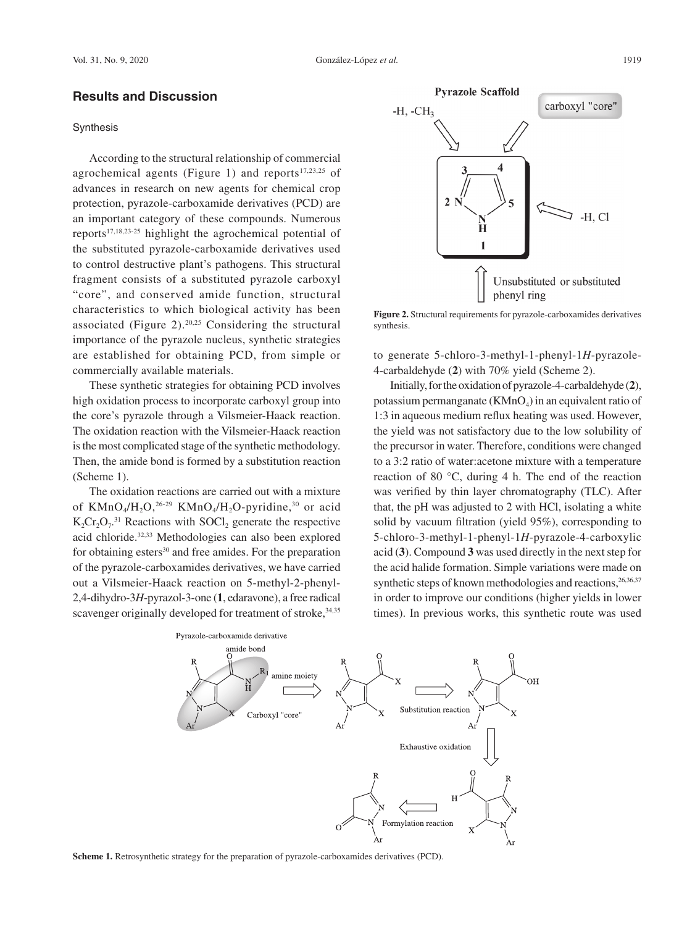## **Results and Discussion**

### **Synthesis**

According to the structural relationship of commercial agrochemical agents (Figure 1) and reports $17,23,25$  of advances in research on new agents for chemical crop protection, pyrazole-carboxamide derivatives (PCD) are an important category of these compounds. Numerous reports17,18,23-25 highlight the agrochemical potential of the substituted pyrazole-carboxamide derivatives used to control destructive plant's pathogens. This structural fragment consists of a substituted pyrazole carboxyl "core", and conserved amide function, structural characteristics to which biological activity has been associated (Figure  $2$ ).<sup>20,25</sup> Considering the structural importance of the pyrazole nucleus, synthetic strategies are established for obtaining PCD, from simple or commercially available materials.

These synthetic strategies for obtaining PCD involves high oxidation process to incorporate carboxyl group into the core's pyrazole through a Vilsmeier-Haack reaction. The oxidation reaction with the Vilsmeier-Haack reaction is the most complicated stage of the synthetic methodology. Then, the amide bond is formed by a substitution reaction (Scheme 1).

The oxidation reactions are carried out with a mixture of  $K MnO_4/H$ <sub>2</sub>O,<sup>26-29</sup>  $K MnO_4/H$ <sub>2</sub>O-pyridine,<sup>30</sup> or acid  $K_2Cr_2O_7^{31}$  Reactions with SOCl<sub>2</sub> generate the respective acid chloride.32,33 Methodologies can also been explored for obtaining esters<sup>30</sup> and free amides. For the preparation of the pyrazole-carboxamides derivatives, we have carried out a Vilsmeier-Haack reaction on 5-methyl-2-phenyl-2,4-dihydro-3*H*-pyrazol-3-one (**1**, edaravone), a free radical scavenger originally developed for treatment of stroke, 34,35



**Figure 2.** Structural requirements for pyrazole-carboxamides derivatives synthesis.

to generate 5-chloro-3-methyl-1-phenyl-1*H*-pyrazole-4-carbaldehyde (**2**) with 70% yield (Scheme 2).

Initially, for the oxidation of pyrazole-4-carbaldehyde (**2**), potassium permanganate  $(KMnO<sub>4</sub>)$  in an equivalent ratio of 1:3 in aqueous medium reflux heating was used. However, the yield was not satisfactory due to the low solubility of the precursor in water. Therefore, conditions were changed to a 3:2 ratio of water:acetone mixture with a temperature reaction of 80 °C, during 4 h. The end of the reaction was verified by thin layer chromatography (TLC). After that, the pH was adjusted to 2 with HCl, isolating a white solid by vacuum filtration (yield 95%), corresponding to 5-chloro-3-methyl-1-phenyl-1*H*-pyrazole-4-carboxylic acid (**3**). Compound **3** was used directly in the next step for the acid halide formation. Simple variations were made on synthetic steps of known methodologies and reactions,  $26,36,37$ in order to improve our conditions (higher yields in lower times). In previous works, this synthetic route was used



**Scheme 1.** Retrosynthetic strategy for the preparation of pyrazole-carboxamides derivatives (PCD).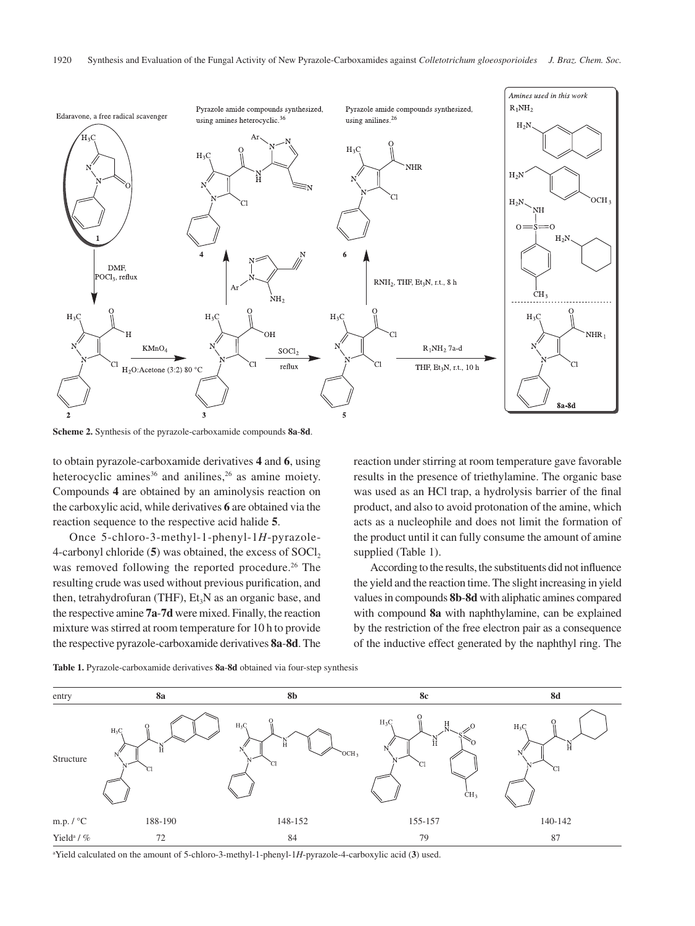

**Scheme 2.** Synthesis of the pyrazole-carboxamide compounds **8a**-**8d**.

to obtain pyrazole-carboxamide derivatives **4** and **6**, using heterocyclic amines<sup>36</sup> and anilines,<sup>26</sup> as amine moiety. Compounds **4** are obtained by an aminolysis reaction on the carboxylic acid, while derivatives **6** are obtained via the reaction sequence to the respective acid halide **5**.

Once 5-chloro-3-methyl-1-phenyl-1*H*-pyrazole-4-carbonyl chloride (5) was obtained, the excess of SOCl<sub>2</sub> was removed following the reported procedure.<sup>26</sup> The resulting crude was used without previous purification, and then, tetrahydrofuran (THF),  $Et<sub>3</sub>N$  as an organic base, and the respective amine **7a**-**7d** were mixed. Finally, the reaction mixture was stirred at room temperature for 10 h to provide the respective pyrazole-carboxamide derivatives **8a**-**8d**. The reaction under stirring at room temperature gave favorable results in the presence of triethylamine. The organic base was used as an HCl trap, a hydrolysis barrier of the final product, and also to avoid protonation of the amine, which acts as a nucleophile and does not limit the formation of the product until it can fully consume the amount of amine supplied (Table 1).

According to the results, the substituents did not influence the yield and the reaction time. The slight increasing in yield values in compounds **8b**-**8d** with aliphatic amines compared with compound **8a** with naphthylamine, can be explained by the restriction of the free electron pair as a consequence of the inductive effect generated by the naphthyl ring. The



**Table 1.** Pyrazole-carboxamide derivatives **8a**-**8d** obtained via four-step synthesis

a Yield calculated on the amount of 5-chloro-3-methyl-1-phenyl-1*H*-pyrazole-4-carboxylic acid (**3**) used.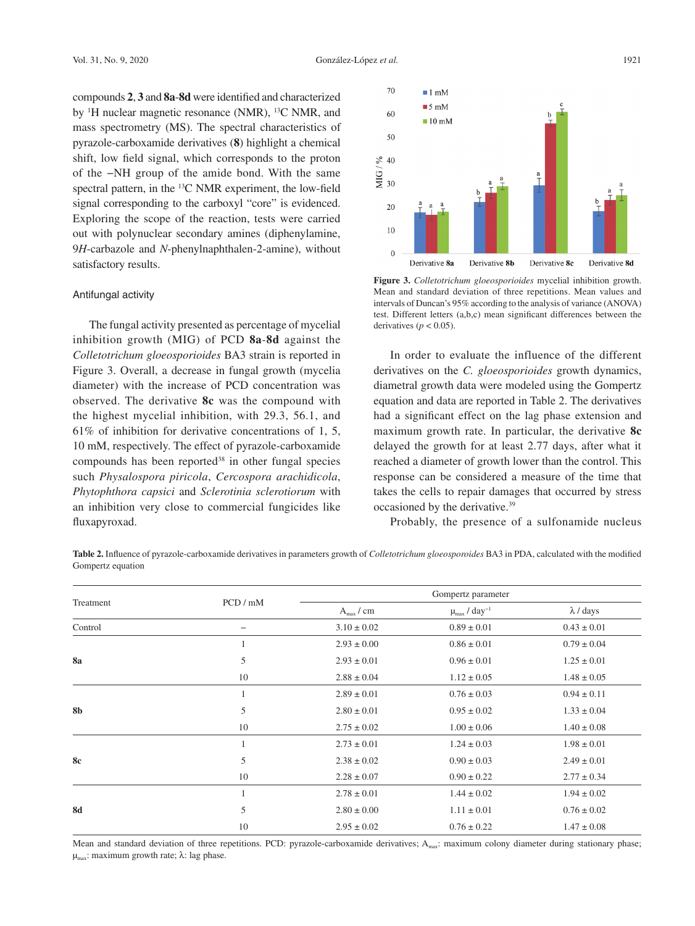compounds **2**, **3** and **8a**-**8d** were identified and characterized by <sup>1</sup>H nuclear magnetic resonance (NMR), <sup>13</sup>C NMR, and mass spectrometry (MS). The spectral characteristics of pyrazole-carboxamide derivatives (**8**) highlight a chemical shift, low field signal, which corresponds to the proton of the −NH group of the amide bond. With the same spectral pattern, in the 13C NMR experiment, the low-field signal corresponding to the carboxyl "core" is evidenced. Exploring the scope of the reaction, tests were carried out with polynuclear secondary amines (diphenylamine, 9*H*-carbazole and *N*-phenylnaphthalen-2-amine), without satisfactory results.

#### Antifungal activity

The fungal activity presented as percentage of mycelial inhibition growth (MIG) of PCD **8a**-**8d** against the *Colletotrichum gloeosporioides* BA3 strain is reported in Figure 3. Overall, a decrease in fungal growth (mycelia diameter) with the increase of PCD concentration was observed. The derivative **8c** was the compound with the highest mycelial inhibition, with 29.3, 56.1, and 61% of inhibition for derivative concentrations of 1, 5, 10 mM, respectively. The effect of pyrazole-carboxamide compounds has been reported<sup>38</sup> in other fungal species such *Physalospora piricola*, *Cercospora arachidicola*, *Phytophthora capsici* and *Sclerotinia sclerotiorum* with an inhibition very close to commercial fungicides like fluxapyroxad.



**Figure 3.** *Colletotrichum gloeosporioides* mycelial inhibition growth. Mean and standard deviation of three repetitions. Mean values and intervals of Duncan's 95% according to the analysis of variance (ANOVA) test. Different letters (a,b,c) mean significant differences between the derivatives ( $p < 0.05$ ).

In order to evaluate the influence of the different derivatives on the *C. gloeosporioides* growth dynamics, diametral growth data were modeled using the Gompertz equation and data are reported in Table 2. The derivatives had a significant effect on the lag phase extension and maximum growth rate. In particular, the derivative **8c** delayed the growth for at least 2.77 days, after what it reached a diameter of growth lower than the control. This response can be considered a measure of the time that takes the cells to repair damages that occurred by stress occasioned by the derivative.39

Probably, the presence of a sulfonamide nucleus

**Table 2.** Influence of pyrazole-carboxamide derivatives in parameters growth of *Colletotrichum gloeosporoides* BA3 in PDA, calculated with the modified Gompertz equation

| Treatment | PCD / mM          | Gompertz parameter |                                        |                  |
|-----------|-------------------|--------------------|----------------------------------------|------------------|
|           |                   | $A_{\rm max}$ / cm | $\mu_{\text{max}}$ / day <sup>-1</sup> | $\lambda$ / days |
| Control   | $\qquad \qquad -$ | $3.10 \pm 0.02$    | $0.89 \pm 0.01$                        | $0.43 \pm 0.01$  |
| 8a        | 1                 | $2.93 \pm 0.00$    | $0.86 \pm 0.01$                        | $0.79 \pm 0.04$  |
|           | 5                 | $2.93 \pm 0.01$    | $0.96 \pm 0.01$                        | $1.25 \pm 0.01$  |
|           | 10                | $2.88 \pm 0.04$    | $1.12 \pm 0.05$                        | $1.48 \pm 0.05$  |
| 8b        | 1                 | $2.89 \pm 0.01$    | $0.76 \pm 0.03$                        | $0.94 \pm 0.11$  |
|           | 5                 | $2.80 \pm 0.01$    | $0.95 \pm 0.02$                        | $1.33 \pm 0.04$  |
|           | 10                | $2.75 \pm 0.02$    | $1.00 \pm 0.06$                        | $1.40 \pm 0.08$  |
| 8c        | 1                 | $2.73 \pm 0.01$    | $1.24 \pm 0.03$                        | $1.98 \pm 0.01$  |
|           | 5                 | $2.38 \pm 0.02$    | $0.90 \pm 0.03$                        | $2.49 \pm 0.01$  |
|           | 10                | $2.28 \pm 0.07$    | $0.90 \pm 0.22$                        | $2.77 \pm 0.34$  |
| <b>8d</b> | 1                 | $2.78 \pm 0.01$    | $1.44 \pm 0.02$                        | $1.94 \pm 0.02$  |
|           | 5                 | $2.80 \pm 0.00$    | $1.11 \pm 0.01$                        | $0.76 \pm 0.02$  |
|           | 10                | $2.95 \pm 0.02$    | $0.76 \pm 0.22$                        | $1.47 \pm 0.08$  |

Mean and standard deviation of three repetitions. PCD: pyrazole-carboxamide derivatives; A<sub>max</sub>: maximum colony diameter during stationary phase;  $μ<sub>max</sub>$ : maximum growth rate; λ: lag phase.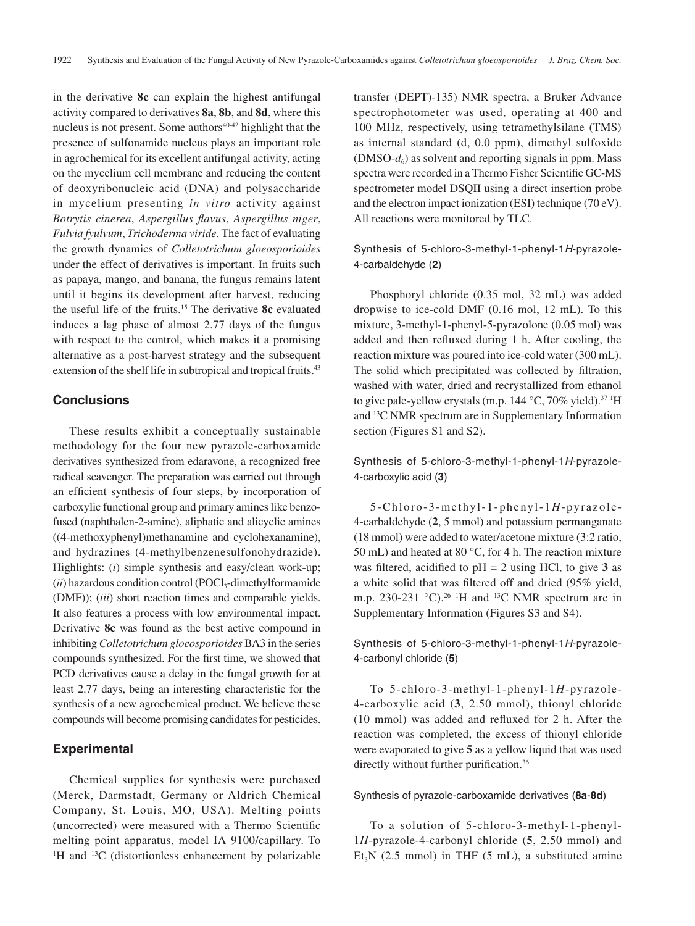in the derivative **8c** can explain the highest antifungal activity compared to derivatives **8a**, **8b**, and **8d**, where this nucleus is not present. Some authors $40-42$  highlight that the presence of sulfonamide nucleus plays an important role in agrochemical for its excellent antifungal activity, acting on the mycelium cell membrane and reducing the content of deoxyribonucleic acid (DNA) and polysaccharide in mycelium presenting *in vitro* activity against *Botrytis cinerea*, *Aspergillus flavus*, *Aspergillus niger*, *Fulvia fyulvum*, *Trichoderma viride*. The fact of evaluating the growth dynamics of *Colletotrichum gloeosporioides* under the effect of derivatives is important. In fruits such as papaya, mango, and banana, the fungus remains latent until it begins its development after harvest, reducing the useful life of the fruits.15 The derivative **8c** evaluated induces a lag phase of almost 2.77 days of the fungus with respect to the control, which makes it a promising alternative as a post-harvest strategy and the subsequent extension of the shelf life in subtropical and tropical fruits.<sup>43</sup>

### **Conclusions**

These results exhibit a conceptually sustainable methodology for the four new pyrazole-carboxamide derivatives synthesized from edaravone, a recognized free radical scavenger. The preparation was carried out through an efficient synthesis of four steps, by incorporation of carboxylic functional group and primary amines like benzofused (naphthalen-2-amine), aliphatic and alicyclic amines ((4-methoxyphenyl)methanamine and cyclohexanamine), and hydrazines (4-methylbenzenesulfonohydrazide). Highlights: (*i*) simple synthesis and easy/clean work-up;  $(iii)$  hazardous condition control (POCl<sub>3</sub>-dimethylformamide (DMF)); (*iii*) short reaction times and comparable yields. It also features a process with low environmental impact. Derivative **8c** was found as the best active compound in inhibiting *Colletotrichum gloeosporioides* BA3 in the series compounds synthesized. For the first time, we showed that PCD derivatives cause a delay in the fungal growth for at least 2.77 days, being an interesting characteristic for the synthesis of a new agrochemical product. We believe these compounds will become promising candidates for pesticides.

# **Experimental**

Chemical supplies for synthesis were purchased (Merck, Darmstadt, Germany or Aldrich Chemical Company, St. Louis, MO, USA). Melting points (uncorrected) were measured with a Thermo Scientific melting point apparatus, model IA 9100/capillary. To <sup>1</sup>H and <sup>13</sup>C (distortionless enhancement by polarizable transfer (DEPT)-135) NMR spectra, a Bruker Advance spectrophotometer was used, operating at 400 and 100 MHz, respectively, using tetramethylsilane (TMS) as internal standard (d, 0.0 ppm), dimethyl sulfoxide  $(DMSO-d<sub>6</sub>)$  as solvent and reporting signals in ppm. Mass spectra were recorded in a Thermo Fisher Scientific GC-MS spectrometer model DSQII using a direct insertion probe and the electron impact ionization (ESI) technique (70 eV). All reactions were monitored by TLC.

Synthesis of 5-chloro-3-methyl-1-phenyl-1*H*-pyrazole-4-carbaldehyde (**2**)

Phosphoryl chloride (0.35 mol, 32 mL) was added dropwise to ice-cold DMF (0.16 mol, 12 mL). To this mixture, 3-methyl-1-phenyl-5-pyrazolone (0.05 mol) was added and then refluxed during 1 h. After cooling, the reaction mixture was poured into ice-cold water (300 mL). The solid which precipitated was collected by filtration, washed with water, dried and recrystallized from ethanol to give pale-yellow crystals (m.p.  $144 \text{ °C}$ ,  $70\%$  yield).<sup>37 1</sup>H and 13C NMR spectrum are in Supplementary Information section (Figures S1 and S2).

Synthesis of 5-chloro-3-methyl-1-phenyl-1*H*-pyrazole-4-carboxylic acid (**3**)

5-Chloro-3-methyl-1-phenyl-1*H*-pyrazole-4-carbaldehyde (**2**, 5 mmol) and potassium permanganate (18 mmol) were added to water/acetone mixture (3:2 ratio, 50 mL) and heated at 80 °C, for 4 h. The reaction mixture was filtered, acidified to  $pH = 2$  using HCl, to give 3 as a white solid that was filtered off and dried (95% yield, m.p. 230-231  $^{\circ}$ C).<sup>26</sup> <sup>1</sup>H and <sup>13</sup>C NMR spectrum are in Supplementary Information (Figures S3 and S4).

Synthesis of 5-chloro-3-methyl-1-phenyl-1*H*-pyrazole-4-carbonyl chloride (**5**)

To 5-chloro-3-methyl-1-phenyl-1*H*-pyrazole-4-carboxylic acid (**3**, 2.50 mmol), thionyl chloride (10 mmol) was added and refluxed for 2 h. After the reaction was completed, the excess of thionyl chloride were evaporated to give **5** as a yellow liquid that was used directly without further purification.<sup>36</sup>

### Synthesis of pyrazole-carboxamide derivatives (**8a**-**8d**)

To a solution of 5-chloro-3-methyl-1-phenyl-1*H*-pyrazole-4-carbonyl chloride (**5**, 2.50 mmol) and  $Et<sub>3</sub>N$  (2.5 mmol) in THF (5 mL), a substituted amine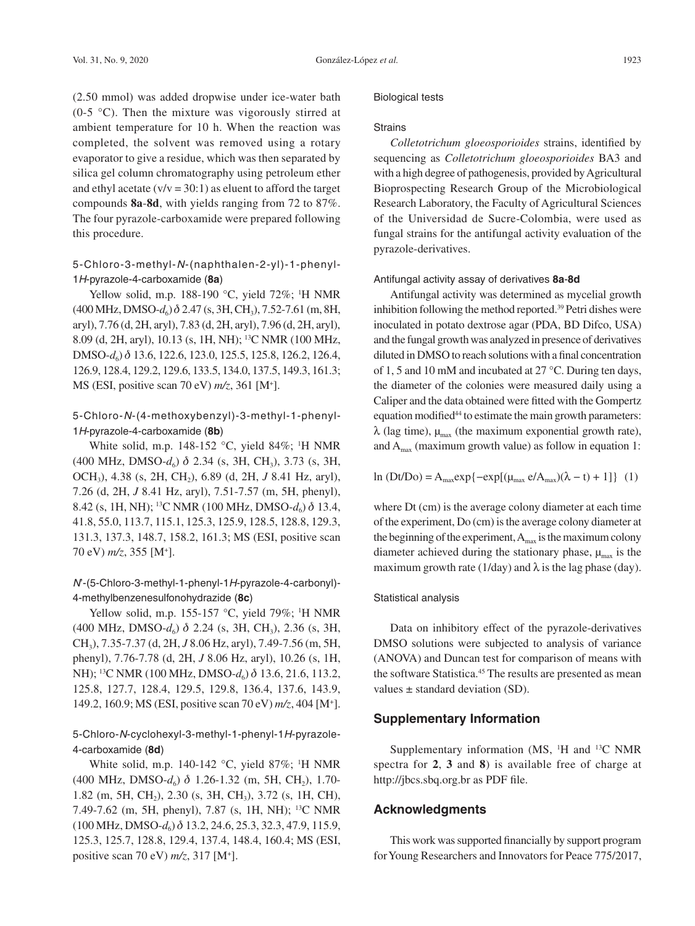(2.50 mmol) was added dropwise under ice-water bath (0-5  $\degree$ C). Then the mixture was vigorously stirred at ambient temperature for 10 h. When the reaction was completed, the solvent was removed using a rotary evaporator to give a residue, which was then separated by silica gel column chromatography using petroleum ether and ethyl acetate  $(v/v = 30:1)$  as eluent to afford the target compounds **8a**-**8d**, with yields ranging from 72 to 87%. The four pyrazole-carboxamide were prepared following this procedure.

5-Chloro-3-methyl-*N*-(naphthalen-2-yl)-1-phenyl-1*H*-pyrazole-4-carboxamide (**8a**)

Yellow solid, m.p. 188-190  $^{\circ}$ C, yield 72%; <sup>1</sup>H NMR  $(400 \text{ MHz}, \text{DMSO-}d_6) \delta$  2.47 (s, 3H, CH<sub>3</sub>), 7.52-7.61 (m, 8H, aryl), 7.76 (d, 2H, aryl), 7.83 (d, 2H, aryl), 7.96 (d, 2H, aryl), 8.09 (d, 2H, aryl), 10.13 (s, 1H, NH); 13C NMR (100 MHz, DMSO-*d*6) d 13.6, 122.6, 123.0, 125.5, 125.8, 126.2, 126.4, 126.9, 128.4, 129.2, 129.6, 133.5, 134.0, 137.5, 149.3, 161.3; MS (ESI, positive scan 70 eV) *m/z*, 361 [M+ ].

# 5-Chloro-*N*-(4-methoxybenzyl)-3-methyl-1-phenyl-1*H*-pyrazole-4-carboxamide (**8b**)

White solid, m.p. 148-152 °C, yield 84%; <sup>1</sup>H NMR (400 MHz, DMSO- $d_6$ )  $\delta$  2.34 (s, 3H, CH<sub>3</sub>), 3.73 (s, 3H, OCH3), 4.38 (s, 2H, CH2), 6.89 (d, 2H, *J* 8.41 Hz, aryl), 7.26 (d, 2H, *J* 8.41 Hz, aryl), 7.51-7.57 (m, 5H, phenyl), 8.42 (s, 1H, NH); <sup>13</sup>C NMR (100 MHz, DMSO- $d_6$ )  $\delta$  13.4, 41.8, 55.0, 113.7, 115.1, 125.3, 125.9, 128.5, 128.8, 129.3, 131.3, 137.3, 148.7, 158.2, 161.3; MS (ESI, positive scan 70 eV) *m/z*, 355 [M+ ].

# *N*'-(5-Chloro-3-methyl-1-phenyl-1*H*-pyrazole-4-carbonyl)- 4-methylbenzenesulfonohydrazide (**8c**)

Yellow solid, m.p. 155-157  $°C$ , yield 79%; <sup>1</sup>H NMR (400 MHz, DMSO-*d*<sub>6</sub>) δ 2.24 (s, 3H, CH<sub>3</sub>), 2.36 (s, 3H, CH3), 7.35-7.37 (d, 2H, *J* 8.06 Hz, aryl), 7.49-7.56 (m, 5H, phenyl), 7.76-7.78 (d, 2H, *J* 8.06 Hz, aryl), 10.26 (s, 1H, NH); <sup>13</sup>C NMR (100 MHz, DMSO-*d*<sub>6</sub>) δ 13.6, 21.6, 113.2, 125.8, 127.7, 128.4, 129.5, 129.8, 136.4, 137.6, 143.9, 149.2, 160.9; MS (ESI, positive scan 70 eV) *m/z*, 404 [M+ ].

# 5-Chloro-*N*-cyclohexyl-3-methyl-1-phenyl-1*H*-pyrazole-4-carboxamide (**8d**)

White solid, m.p. 140-142  $\degree$ C, yield 87%; <sup>1</sup>H NMR (400 MHz, DMSO- $d_6$ )  $\delta$  1.26-1.32 (m, 5H, CH<sub>2</sub>), 1.70-1.82 (m, 5H, CH<sub>2</sub>), 2.30 (s, 3H, CH<sub>3</sub>), 3.72 (s, 1H, CH), 7.49-7.62 (m, 5H, phenyl), 7.87 (s, 1H, NH); 13C NMR (100 MHz, DMSO-*d*6) d 13.2, 24.6, 25.3, 32.3, 47.9, 115.9, 125.3, 125.7, 128.8, 129.4, 137.4, 148.4, 160.4; MS (ESI, positive scan 70 eV) *m/z*, 317 [M+ ].

### Biological tests

#### **Strains**

*Colletotrichum gloeosporioides* strains, identified by sequencing as *Colletotrichum gloeosporioides* BA3 and with a high degree of pathogenesis, provided by Agricultural Bioprospecting Research Group of the Microbiological Research Laboratory, the Faculty of Agricultural Sciences of the Universidad de Sucre-Colombia, were used as fungal strains for the antifungal activity evaluation of the pyrazole-derivatives.

#### Antifungal activity assay of derivatives **8a**-**8d**

Antifungal activity was determined as mycelial growth inhibition following the method reported.39 Petri dishes were inoculated in potato dextrose agar (PDA, BD Difco, USA) and the fungal growth was analyzed in presence of derivatives diluted in DMSO to reach solutions with a final concentration of 1, 5 and 10 mM and incubated at 27 °C. During ten days, the diameter of the colonies were measured daily using a Caliper and the data obtained were fitted with the Gompertz equation modified<sup>44</sup> to estimate the main growth parameters:  $λ$  (lag time),  $μ_{max}$  (the maximum exponential growth rate), and  $A<sub>max</sub>$  (maximum growth value) as follow in equation 1:

$$
\ln(Dt/Do) = A_{\text{max}} \exp\{-\exp[(\mu_{\text{max}} e/A_{\text{max}})(\lambda - t) + 1]\} \tag{1}
$$

where Dt (cm) is the average colony diameter at each time of the experiment, Do (cm) is the average colony diameter at the beginning of the experiment,  $A_{\text{max}}$  is the maximum colony diameter achieved during the stationary phase,  $\mu_{\text{max}}$  is the maximum growth rate (1/day) and  $\lambda$  is the lag phase (day).

### Statistical analysis

Data on inhibitory effect of the pyrazole-derivatives DMSO solutions were subjected to analysis of variance (ANOVA) and Duncan test for comparison of means with the software Statistica.<sup>45</sup> The results are presented as mean values  $\pm$  standard deviation (SD).

### **Supplementary Information**

Supplementary information (MS, <sup>1</sup>H and <sup>13</sup>C NMR spectra for **2**, **3** and **8**) is available free of charge at http://jbcs.sbq.org.br as PDF file.

## **Acknowledgments**

This work was supported financially by support program for Young Researchers and Innovators for Peace 775/2017,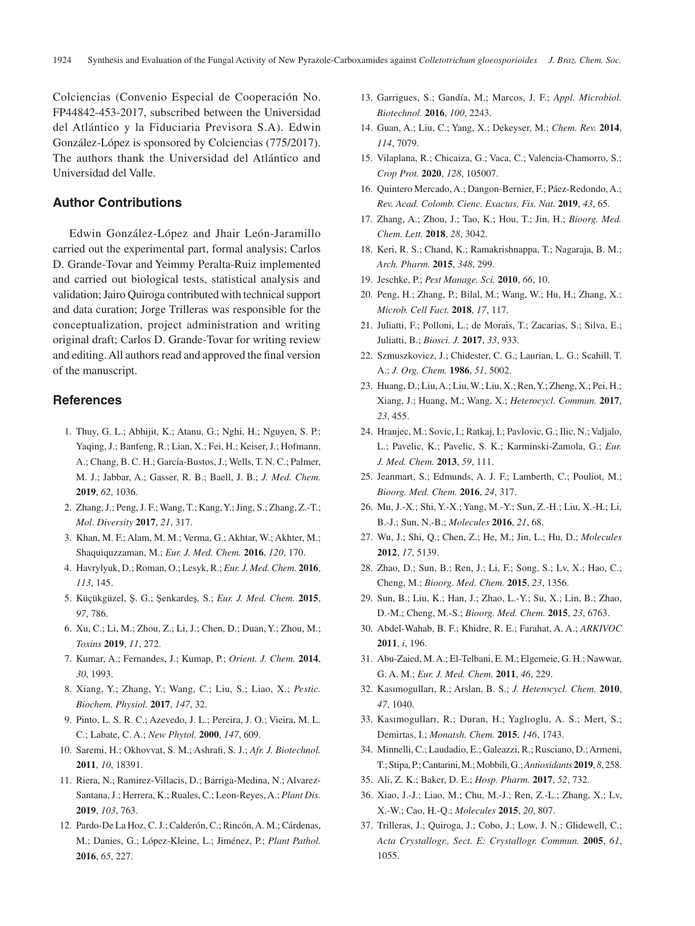Colciencias (Convenio Especial de Cooperación No. FP44842-453-2017, subscribed between the Universidad del Atlántico y la Fiduciaria Previsora S.A). Edwin González-López is sponsored by Colciencias (775/2017). The authors thank the Universidad del Atlántico and Universidad del Valle.

# **Author Contributions**

Edwin González-López and Jhair León-Jaramillo carried out the experimental part, formal analysis; Carlos D. Grande-Tovar and Yeimmy Peralta-Ruiz implemented and carried out biological tests, statistical analysis and validation; Jairo Quiroga contributed with technical support and data curation; Jorge Trilleras was responsible for the conceptualization, project administration and writing original draft; Carlos D. Grande-Tovar for writing review and editing. All authors read and approved the final version of the manuscript.

## **References**

- 1. Thuy, G. L.; Abhijit, K.; Atanu, G.; Nghi, H.; Nguyen, S. P.; Yaqing, J.; Banfeng, R.; Lian, X.; Fei, H.; Keiser, J.; Hofmann, A.; Chang, B. C. H.; García-Bustos, J.; Wells, T. N. C.; Palmer, M. J.; Jabbar, A.; Gasser, R. B.; Baell, J. B.; *J. Med. Chem.* **2019**, *62*, 1036.
- 2. Zhang, J.; Peng, J. F.; Wang, T.; Kang, Y.; Jing, S.; Zhang, Z.-T.; *Mol*. *Diversity* **2017**, *21*, 317.
- 3. Khan, M. F.; Alam, M. M.; Verma, G.; Akhtar, W.; Akhter, M.; Shaquiquzzaman, M.; *Eur. J. Med. Chem.* **2016**, *120*, 170.
- 4. Havrylyuk, D.; Roman, O.; Lesyk, R.; *Eur. J. Med. Chem.* **2016**, *113*, 145.
- 5. Küçükgüzel, Ş. G.; Şenkardeş*,* S.; *Eur. J. Med. Chem.* **2015**, *97*, 786.
- 6. Xu, C.; Li, M.; Zhou, Z.; Li, J.; Chen, D.; Duan, Y.; Zhou, M.; *Toxins* **2019**, *11*, 272.
- 7. Kumar, A.; Fernandes, J.; Kumap, P.; *Orient. J. Chem.* **2014**, *30*, 1993.
- 8. Xiang, Y.; Zhang, Y.; Wang, C.; Liu, S.; Liao, X.; *Pestic. Biochem. Physiol.* **2017**, *147*, 32.
- 9. Pinto, L. S. R. C.; Azevedo, J. L.; Pereira, J. O.; Vieira, M. L. C.; Labate, C. A.; *New Phytol.* **2000**, *147*, 609.
- 10. Saremi, H.; Okhovvat, S. M.; Ashrafi, S. J.; *Afr. J. Biotechnol.* **2011**, *10*, 18391.
- 11. Riera, N.; Ramirez-Villacis, D.; Barriga-Medina, N.; Alvarez-Santana, J.; Herrera, K.; Ruales, C.; Leon-Reyes, A.; *Plant Dis.* **2019**, *103*, 763.
- 12. Pardo-De La Hoz, C. J.; Calderón, C.; Rincón, A. M.; Cárdenas, M.; Danies, G.; López-Kleine, L.; Jiménez, P.; *Plant Pathol.* **2016**, *65*, 227.
- 13. Garrigues, S.; Gandía, M.; Marcos, J. F.; *Appl. Microbiol. Biotechnol.* **2016**, *100*, 2243.
- 14. Guan, A.; Liu, C.; Yang, X.; Dekeyser, M.; *Chem. Rev.* **2014**, *114*, 7079.
- 15. Vilaplana, R.; Chicaiza, G.; Vaca, C.; Valencia-Chamorro, S.; *Crop Prot.* **2020**, *128*, 105007.
- 16. Quintero Mercado, A.; Dangon-Bernier, F.; Páez-Redondo, A.; *Rev. Acad. Colomb. Cienc. Exactas, Fis. Nat.* **2019**, *43*, 65.
- 17. Zhang, A.; Zhou, J.; Tao, K.; Hou, T.; Jin, H.; *Bioorg. Med. Chem. Lett.* **2018**, *28*, 3042.
- 18. Keri, R. S.; Chand, K.; Ramakrishnappa, T.; Nagaraja, B. M.; *Arch. Pharm.* **2015**, *348*, 299.
- 19. Jeschke, P.; *Pest Manage. Sci.* **2010**, *66*, 10.
- 20. Peng, H.; Zhang, P.; Bilal, M.; Wang, W.; Hu, H.; Zhang, X.; *Microb. Cell Fact.* **2018**, *17*, 117.
- 21. Juliatti, F.; Polloni, L.; de Morais, T.; Zacarias, S.; Silva, E.; Juliatti, B.; *Biosci. J.* **2017**, *33*, 933.
- 22. Szmuszkovicz, J.; Chidester, C. G.; Laurian, L. G.; Scahill, T. A.; *J. Org. Chem.* **1986**, *51*, 5002.
- 23. Huang, D.; Liu, A.; Liu, W.; Liu, X.; Ren, Y.; Zheng, X.; Pei, H.; Xiang, J.; Huang, M.; Wang, X.; *Heterocycl. Commun.* **2017**, *23*, 455.
- 24. Hranjec, M.; Sovic, I.; Ratkaj, I.; Pavlovic, G.; Ilic, N.; Valjalo, L.; Pavelic, K.; Pavelic, S. K.; Karminski-Zamola, G.; *Eur. J. Med. Chem.* **2013**, *59*, 111.
- 25. Jeanmart, S.; Edmunds, A. J. F.; Lamberth, C.; Pouliot, M.; *Bioorg. Med. Chem.* **2016**, *24*, 317.
- 26. Mu, J.-X.; Shi, Y.-X.; Yang, M.-Y.; Sun, Z.-H.; Liu, X.-H.; Li, B.-J.; Sun, N.-B.; *Molecules* **2016**, *21*, 68.
- 27. Wu, J.; Shi, Q.; Chen, Z.; He, M.; Jin, L.; Hu, D.; *Molecules* **2012**, *17*, 5139.
- 28. Zhao, D.; Sun, B.; Ren, J.; Li, F.; Song, S.; Lv, X.; Hao, C.; Cheng, M.; *Bioorg. Med. Chem.* **2015**, *23*, 1356.
- 29. Sun, B.; Liu, K.; Han, J.; Zhao, L.-Y.; Su, X.; Lin, B.; Zhao, D.-M.; Cheng, M.-S.; *Bioorg. Med. Chem.* **2015**, *23*, 6763.
- 30. Abdel-Wahab, B. F.; Khidre, R. E.; Farahat, A. A.; *ARKIVOC* **2011**, *i*, 196.
- 31. Abu-Zaied, M. A.; El-Telbani, E. M.; Elgemeie, G. H.; Nawwar, G. A. M.; *Eur. J. Med. Chem.* **2011**, *46*, 229.
- 32. Kasımogulları, R.; Arslan, B. S.; *J. Heterocycl. Chem.* **2010**, *47*, 1040.
- 33. Kasımogulları, R.; Duran, H.; Yaglıoglu, A. S.; Mert, S.; Demirtas, I.; *Monatsh. Chem.* **2015**, *146*, 1743.
- 34. Minnelli, C.; Laudadio, E.; Galeazzi, R.; Rusciano, D.; Armeni, T.; Stipa, P.; Cantarini, M.; Mobbili, G.; *Antioxidants* **2019**, *8*, 258.
- 35. Ali, Z. K.; Baker, D. E.; *Hosp. Pharm.* **2017**, *52*, 732.
- 36. Xiao, J.-J.; Liao, M.; Chu, M.-J.; Ren, Z.-L.; Zhang, X.; Lv, X.-W.; Cao, H.-Q.; *Molecules* **2015**, *20*, 807.
- 37. Trilleras, J.; Quiroga, J.; Cobo, J.; Low, J. N.; Glidewell, C.; *Acta Crystallogr., Sect. E: Crystallogr. Commun.* **2005**, *61*, 1055.